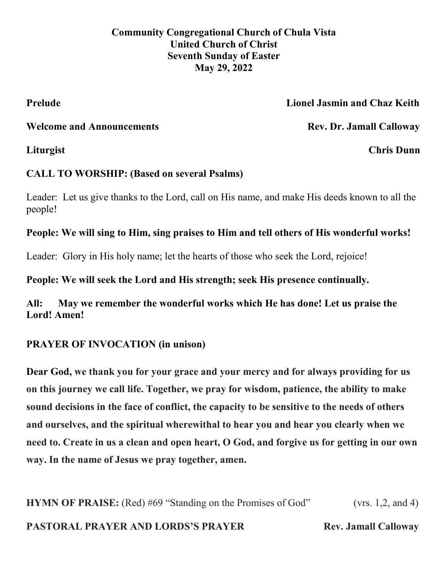**Community Congregational Church of Chula Vista United Church of Christ Seventh Sunday of Easter May 29, 2022** 

# **Prelude Lionel Jasmin and Chaz Keith**

Welcome and Announcements **Rev. Dr. Jamall Calloway** 

**Liturgist Chris Dunn**

# **CALL TO WORSHIP: (Based on several Psalms)**

Leader: Let us give thanks to the Lord, call on His name, and make His deeds known to all the people!

# **People: We will sing to Him, sing praises to Him and tell others of His wonderful works!**

Leader: Glory in His holy name; let the hearts of those who seek the Lord, rejoice!

**People: We will seek the Lord and His strength; seek His presence continually.**

**All: May we remember the wonderful works which He has done! Let us praise the Lord! Amen!**

# **PRAYER OF INVOCATION (in unison)**

**Dear God, we thank you for your grace and your mercy and for always providing for us on this journey we call life. Together, we pray for wisdom, patience, the ability to make sound decisions in the face of conflict, the capacity to be sensitive to the needs of others and ourselves, and the spiritual wherewithal to hear you and hear you clearly when we need to. Create in us a clean and open heart, O God, and forgive us for getting in our own way. In the name of Jesus we pray together, amen.**

**HYMN OF PRAISE:** (Red) #69 "Standing on the Promises of God" (vrs. 1,2, and 4) **PASTORAL PRAYER AND LORDS'S PRAYER Rev. Jamall Calloway**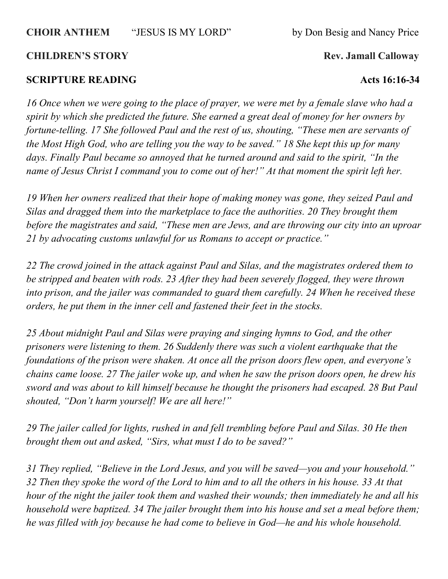### **CHOIR ANTHEM** "JESUS IS MY LORD" by Don Besig and Nancy Price

### **CHILDREN'S STORY** Rev. Jamall Calloway

### **SCRIPTURE READING Acts 16:16-34**

*16 Once when we were going to the place of prayer, we were met by a female slave who had a spirit by which she predicted the future. She earned a great deal of money for her owners by fortune-telling. 17 She followed Paul and the rest of us, shouting, "These men are servants of the Most High God, who are telling you the way to be saved." 18 She kept this up for many days. Finally Paul became so annoyed that he turned around and said to the spirit, "In the name of Jesus Christ I command you to come out of her!" At that moment the spirit left her.*

*19 When her owners realized that their hope of making money was gone, they seized Paul and Silas and dragged them into the marketplace to face the authorities. 20 They brought them before the magistrates and said, "These men are Jews, and are throwing our city into an uproar 21 by advocating customs unlawful for us Romans to accept or practice."*

*22 The crowd joined in the attack against Paul and Silas, and the magistrates ordered them to be stripped and beaten with rods. 23 After they had been severely flogged, they were thrown into prison, and the jailer was commanded to guard them carefully. 24 When he received these orders, he put them in the inner cell and fastened their feet in the stocks.*

*25 About midnight Paul and Silas were praying and singing hymns to God, and the other prisoners were listening to them. 26 Suddenly there was such a violent earthquake that the foundations of the prison were shaken. At once all the prison doors flew open, and everyone's chains came loose. 27 The jailer woke up, and when he saw the prison doors open, he drew his sword and was about to kill himself because he thought the prisoners had escaped. 28 But Paul shouted, "Don't harm yourself! We are all here!"*

*29 The jailer called for lights, rushed in and fell trembling before Paul and Silas. 30 He then brought them out and asked, "Sirs, what must I do to be saved?"*

*31 They replied, "Believe in the Lord Jesus, and you will be saved—you and your household." 32 Then they spoke the word of the Lord to him and to all the others in his house. 33 At that hour of the night the jailer took them and washed their wounds; then immediately he and all his household were baptized. 34 The jailer brought them into his house and set a meal before them; he was filled with joy because he had come to believe in God—he and his whole household.*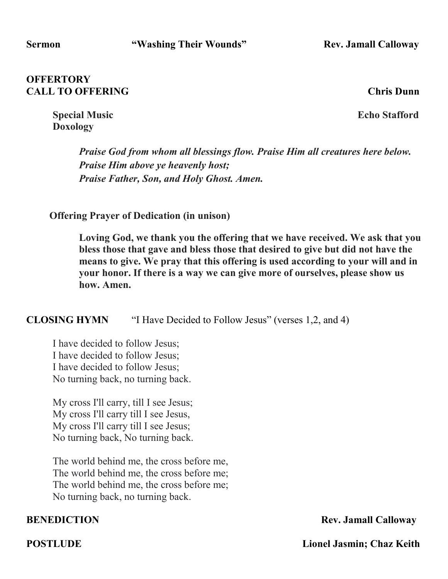### **OFFERTORY CALL TO OFFERING CALL TO OFFERING**

**Special Music** Echo Stafford **Doxology**

*Praise God from whom all blessings flow. Praise Him all creatures here below. Praise Him above ye heavenly host; Praise Father, Son, and Holy Ghost. Amen.*

**Offering Prayer of Dedication (in unison)**

**Loving God, we thank you the offering that we have received. We ask that you bless those that gave and bless those that desired to give but did not have the means to give. We pray that this offering is used according to your will and in your honor. If there is a way we can give more of ourselves, please show us how. Amen.**

**CLOSING HYMN** "I Have Decided to Follow Jesus" (verses 1,2, and 4)

I have decided to follow Jesus; I have decided to follow Jesus; I have decided to follow Jesus; No turning back, no turning back.

My cross I'll carry, till I see Jesus; My cross I'll carry till I see Jesus, My cross I'll carry till I see Jesus; No turning back, No turning back.

The world behind me, the cross before me, The world behind me, the cross before me; The world behind me, the cross before me; No turning back, no turning back.

**BENEDICTION** Rev. Jamall Calloway

**POSTLUDE** Lionel Jasmin; Chaz Keith